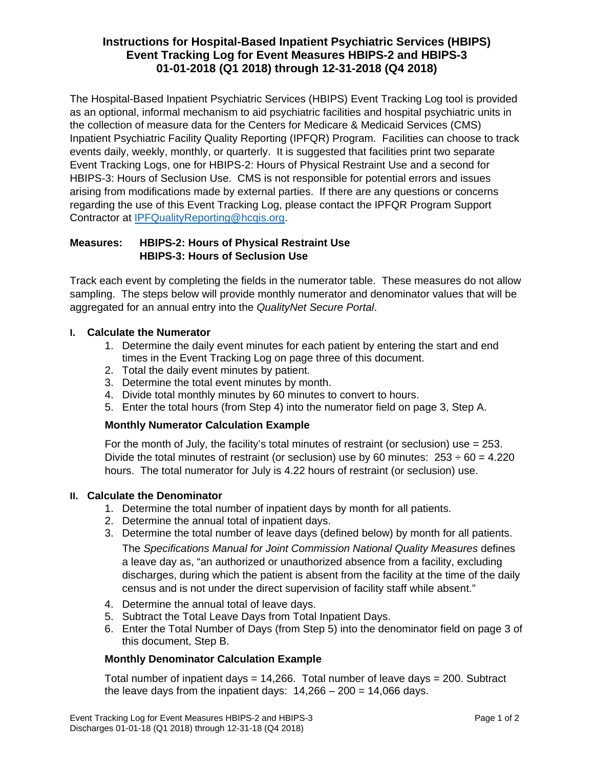# **Instructions for Hospital-Based Inpatient Psychiatric Services (HBIPS) Event Tracking Log for Event Measures HBIPS-2 and HBIPS-3 01-01-2018 (Q1 2018) through 12-31-2018 (Q4 2018)**

The Hospital-Based Inpatient Psychiatric Services (HBIPS) Event Tracking Log tool is provided as an optional, informal mechanism to aid psychiatric facilities and hospital psychiatric units in the collection of measure data for the Centers for Medicare & Medicaid Services (CMS) Inpatient Psychiatric Facility Quality Reporting (IPFQR) Program. Facilities can choose to track events daily, weekly, monthly, or quarterly. It is suggested that facilities print two separate Event Tracking Logs, one for HBIPS-2: Hours of Physical Restraint Use and a second for HBIPS-3: Hours of Seclusion Use. CMS is not responsible for potential errors and issues arising from modifications made by external parties. If there are any questions or concerns regarding the use of this Event Tracking Log, please contact the IPFQR Program Support Contractor at [IPFQualityReporting@hcqis.org.](mailto:IPFQualityReporting@hcqis.org)

## **Measures: HBIPS-2: Hours of Physical Restraint Use HBIPS-3: Hours of Seclusion Use**

Track each event by completing the fields in the numerator table. These measures do not allow sampling. The steps below will provide monthly numerator and denominator values that will be aggregated for an annual entry into the *QualityNet Secure Portal*.

## **I. Calculate the Numerator**

- 1. Determine the daily event minutes for each patient by entering the start and end times in the Event Tracking Log on page three of this document.
- 2. Total the daily event minutes by patient.
- 3. Determine the total event minutes by month.
- 4. Divide total monthly minutes by 60 minutes to convert to hours.
- 5. Enter the total hours (from Step 4) into the numerator field on page 3, Step A.

## **Monthly Numerator Calculation Example**

For the month of July, the facility's total minutes of restraint (or seclusion) use  $= 253$ . Divide the total minutes of restraint (or seclusion) use by 60 minutes:  $253 \div 60 = 4.220$ hours. The total numerator for July is 4.22 hours of restraint (or seclusion) use.

## **II. Calculate the Denominator**

- 1. Determine the total number of inpatient days by month for all patients.
- 2. Determine the annual total of inpatient days.
- 3. Determine the total number of leave days (defined below) by month for all patients. The *Specifications Manual for Joint Commission National Quality Measures* defines a leave day as, "an authorized or unauthorized absence from a facility, excluding discharges, during which the patient is absent from the facility at the time of the daily census and is not under the direct supervision of facility staff while absent."
- 4. Determine the annual total of leave days.
- 5. Subtract the Total Leave Days from Total Inpatient Days.
- 6. Enter the Total Number of Days (from Step 5) into the denominator field on page 3 of this document, Step B.

# **Monthly Denominator Calculation Example**

Total number of inpatient days = 14,266. Total number of leave days = 200. Subtract the leave days from the inpatient days:  $14,266 - 200 = 14,066$  days.